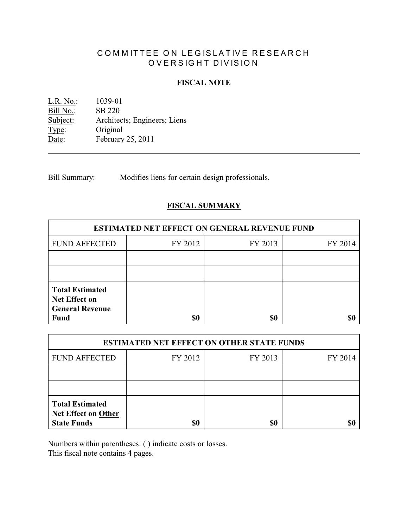# COMMITTEE ON LEGISLATIVE RESEARCH OVERSIGHT DIVISION

## **FISCAL NOTE**

<u>L.R. No.:</u> 1039-01<br>Bill No.: SB 220 Bill No.:<br>Subject: Architects; Engineers; Liens Type: Original Date: February 25, 2011

Bill Summary: Modifies liens for certain design professionals.

# **FISCAL SUMMARY**

| <b>ESTIMATED NET EFFECT ON GENERAL REVENUE FUND</b> |         |         |  |  |
|-----------------------------------------------------|---------|---------|--|--|
| FY 2012                                             | FY 2013 | FY 2014 |  |  |
|                                                     |         |         |  |  |
|                                                     |         |         |  |  |
|                                                     |         |         |  |  |
|                                                     | \$0     | \$0     |  |  |

| <b>ESTIMATED NET EFFECT ON OTHER STATE FUNDS</b>                           |         |         |         |  |
|----------------------------------------------------------------------------|---------|---------|---------|--|
| <b>FUND AFFECTED</b>                                                       | FY 2012 | FY 2013 | FY 2014 |  |
|                                                                            |         |         |         |  |
|                                                                            |         |         |         |  |
| <b>Total Estimated</b><br><b>Net Effect on Other</b><br><b>State Funds</b> | \$0     | \$0     |         |  |

Numbers within parentheses: ( ) indicate costs or losses.

This fiscal note contains 4 pages.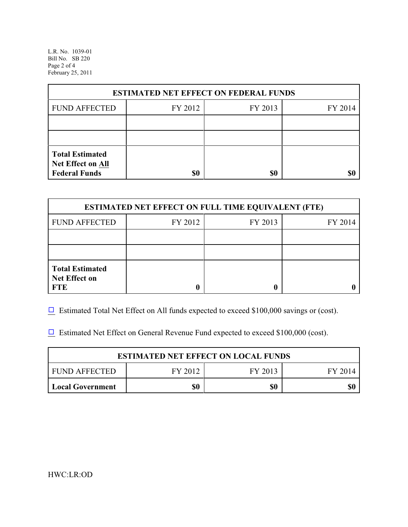L.R. No. 1039-01 Bill No. SB 220 Page 2 of 4 February 25, 2011

| <b>ESTIMATED NET EFFECT ON FEDERAL FUNDS</b>                        |         |         |         |  |
|---------------------------------------------------------------------|---------|---------|---------|--|
| <b>FUND AFFECTED</b>                                                | FY 2012 | FY 2013 | FY 2014 |  |
|                                                                     |         |         |         |  |
|                                                                     |         |         |         |  |
| <b>Total Estimated</b><br>Net Effect on All<br><b>Federal Funds</b> | \$0     | \$0     |         |  |

| <b>ESTIMATED NET EFFECT ON FULL TIME EQUIVALENT (FTE)</b>    |         |         |         |  |
|--------------------------------------------------------------|---------|---------|---------|--|
| <b>FUND AFFECTED</b>                                         | FY 2012 | FY 2013 | FY 2014 |  |
|                                                              |         |         |         |  |
|                                                              |         |         |         |  |
| <b>Total Estimated</b><br><b>Net Effect on</b><br><b>FTE</b> |         |         |         |  |

 $\Box$  Estimated Total Net Effect on All funds expected to exceed \$100,000 savings or (cost).

 $\Box$  Estimated Net Effect on General Revenue Fund expected to exceed \$100,000 (cost).

| <b>ESTIMATED NET EFFECT ON LOCAL FUNDS</b> |         |         |         |
|--------------------------------------------|---------|---------|---------|
| I FUND AFFECTED                            | FY 2012 | FY 2013 | FY 2014 |
| Local Government                           | \$0     | \$0     |         |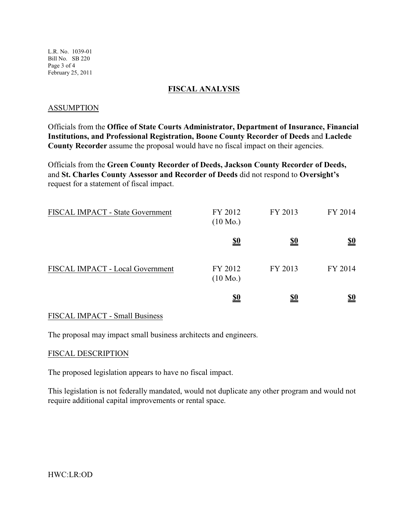L.R. No. 1039-01 Bill No. SB 220 Page 3 of 4 February 25, 2011

#### **FISCAL ANALYSIS**

#### ASSUMPTION

Officials from the **Office of State Courts Administrator, Department of Insurance, Financial Institutions, and Professional Registration, Boone County Recorder of Deeds** and **Laclede County Recorder** assume the proposal would have no fiscal impact on their agencies.

Officials from the **Green County Recorder of Deeds, Jackson County Recorder of Deeds,** and **St. Charles County Assessor and Recorder of Deeds** did not respond to **Oversight's** request for a statement of fiscal impact.

| FISCAL IMPACT - State Government | FY 2012<br>$(10 \text{ Mo.})$ | FY 2013    | FY 2014                       |
|----------------------------------|-------------------------------|------------|-------------------------------|
|                                  | <u>\$0</u>                    | <u>\$0</u> | <u>\$0</u>                    |
| FISCAL IMPACT - Local Government | FY 2012<br>$(10 \text{ Mo.})$ | FY 2013    | FY 2014                       |
|                                  | <u>\$0</u>                    | <u>\$0</u> | $\underline{\underline{\$0}}$ |

## FISCAL IMPACT - Small Business

The proposal may impact small business architects and engineers.

#### FISCAL DESCRIPTION

The proposed legislation appears to have no fiscal impact.

This legislation is not federally mandated, would not duplicate any other program and would not require additional capital improvements or rental space.